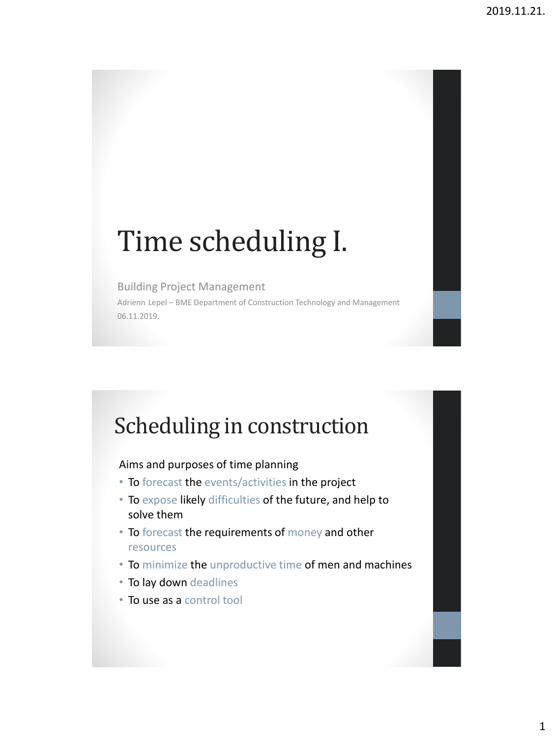# Time scheduling I.

#### Building Project Management

Adrienn Lepel – BME Department of Construction Technology and Management 06.11.2019.

# Scheduling in construction

#### Aims and purposes of time planning

- To forecast the events/activities in the project
- To expose likely difficulties of the future, and help to solve them
- To forecast the requirements of money and other resources
- To minimize the unproductive time of men and machines
- To lay down deadlines
- To use as a control tool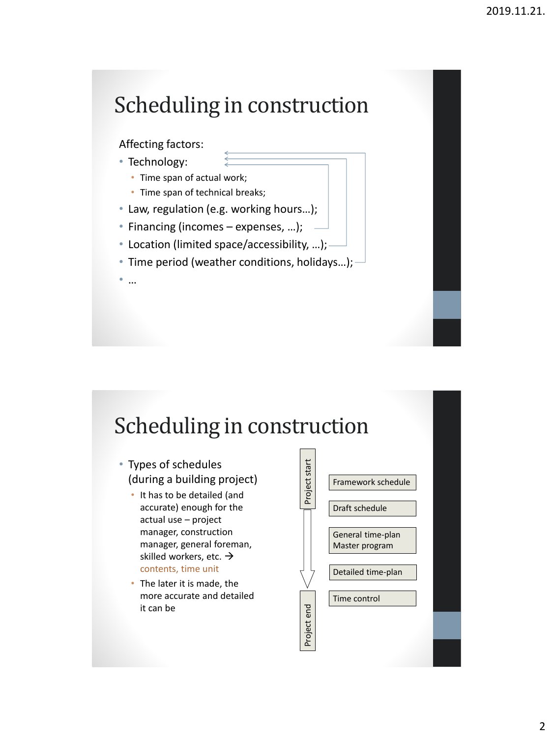# Scheduling in construction

#### Affecting factors:

- Technology:
	- Time span of actual work;
	- Time span of technical breaks;
- Law, regulation (e.g. working hours…);
- Financing (incomes expenses, …);
- Location (limited space/accessibility, …);
- Time period (weather conditions, holidays…);

• …

# Scheduling in construction

- Types of schedules (during a building project)
	- It has to be detailed (and accurate) enough for the actual use – project manager, construction manager, general foreman, skilled workers, etc.  $\rightarrow$ contents, time unit
	- The later it is made, the more accurate and detailed it can be

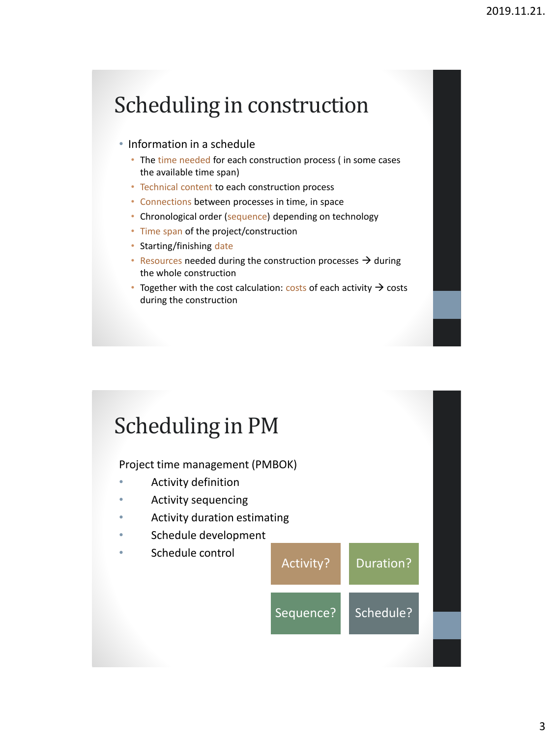# Scheduling in construction

- Information in a schedule
	- The time needed for each construction process (in some cases the available time span)
	- Technical content to each construction process
	- Connections between processes in time, in space
	- Chronological order (sequence) depending on technology
	- Time span of the project/construction
	- Starting/finishing date
	- Resources needed during the construction processes  $\rightarrow$  during the whole construction
	- Together with the cost calculation: costs of each activity  $\rightarrow$  costs during the construction

# Scheduling in PM

Project time management (PMBOK)

- Activity definition
- Activity sequencing
- Activity duration estimating
- Schedule development
- Schedule control

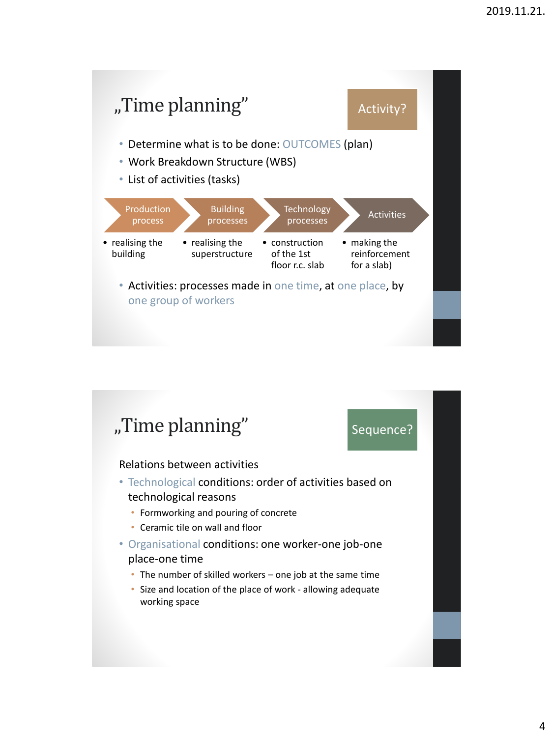

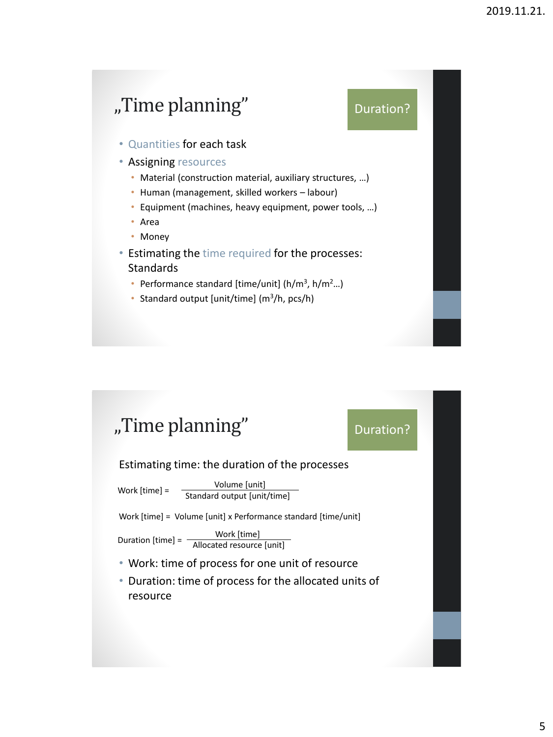#### "Time planning"

Duration?

• Quantities for each task

• Assigning resources

- Material (construction material, auxiliary structures, …)
- Human (management, skilled workers labour)
- Equipment (machines, heavy equipment, power tools, …)
- Area
- Money
- Estimating the time required for the processes: **Standards** 
	- Performance standard [time/unit] ( $h/m^3$ ,  $h/m^2...$ )
	- Standard output [unit/time] (m<sup>3</sup> /h, pcs/h)

### "Time planning"

#### Duration?

Estimating time: the duration of the processes

Volume [unit] Standard output [unit/time] Work [time] =

Work [time] = Volume [unit] x Performance standard [time/unit]

Duration [time] =  $\frac{\text{Work [time]}}{\text{Allocated resource [unit]}}$ 

- Work: time of process for one unit of resource
- Duration: time of process for the allocated units of resource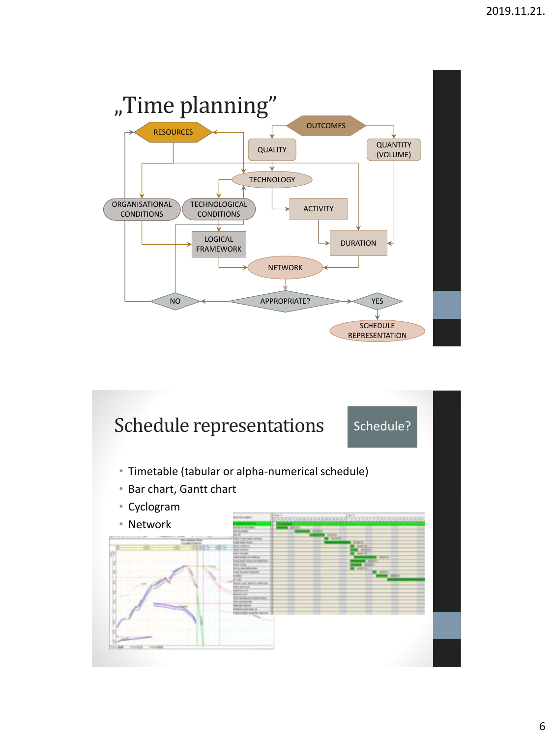

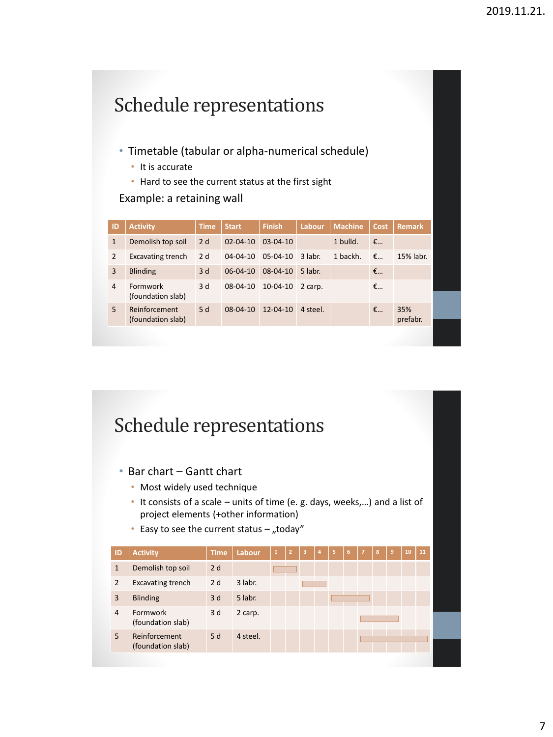|                | Schedule representations                          |             |                |                |          |                |             |                 |  |  |  |  |
|----------------|---------------------------------------------------|-------------|----------------|----------------|----------|----------------|-------------|-----------------|--|--|--|--|
|                |                                                   |             |                |                |          |                |             |                 |  |  |  |  |
|                | • Timetable (tabular or alpha-numerical schedule) |             |                |                |          |                |             |                 |  |  |  |  |
|                | It is accurate                                    |             |                |                |          |                |             |                 |  |  |  |  |
|                | Hard to see the current status at the first sight |             |                |                |          |                |             |                 |  |  |  |  |
|                | Example: a retaining wall                         |             |                |                |          |                |             |                 |  |  |  |  |
|                |                                                   |             |                |                |          |                |             |                 |  |  |  |  |
|                |                                                   |             |                |                |          |                |             |                 |  |  |  |  |
| ID             | <b>Activity</b>                                   | <b>Time</b> | <b>Start</b>   | <b>Finish</b>  | Labour   | <b>Machine</b> | Cost        | <b>Remark</b>   |  |  |  |  |
| $\mathbf{1}$   | Demolish top soil                                 | 2d          | $02 - 04 - 10$ | $03 - 04 - 10$ |          | 1 bulld.       | $\epsilon$  |                 |  |  |  |  |
| $\overline{2}$ | Excavating trench                                 | 2d          | $04 - 04 - 10$ | $05-04-10$     | 3 labr.  | 1 backh.       | $\epsilon$  | 15% labr.       |  |  |  |  |
| 3              | <b>Blinding</b>                                   | 3d          | $06 - 04 - 10$ | $08 - 04 - 10$ | 5 labr.  |                | $f_{\dots}$ |                 |  |  |  |  |
| $\overline{4}$ | Formwork<br>(foundation slab)                     | 3d          | $08-04-10$     | $10-04-10$     | 2 carp.  |                | $\epsilon$  |                 |  |  |  |  |
| 5              | Reinforcement<br>(foundation slab)                | 5d          | $08 - 04 - 10$ | $12 - 04 - 10$ | 4 steel. |                | €           | 35%<br>prefabr. |  |  |  |  |

### Schedule representations

- Bar chart Gantt chart
	- Most widely used technique
	- It consists of a scale units of time (e. g. days, weeks,…) and a list of project elements (+other information)
	- Easy to see the current status  $-$  "today"

| ID             | <b>Activity</b>                    | <b>Time</b> | <b>Labour</b> | $\mathbf{1}$ | $\overline{2}$ | $\overline{\mathbf{3}}$ | $\vert$ 4 | -5 | 6 | $\overline{7}$ | 8 | $\overline{9}$ | 10 | 11 |
|----------------|------------------------------------|-------------|---------------|--------------|----------------|-------------------------|-----------|----|---|----------------|---|----------------|----|----|
| $\mathbf{1}$   | Demolish top soil                  | 2d          |               |              |                |                         |           |    |   |                |   |                |    |    |
| 2              | <b>Excavating trench</b>           | 2d          | 3 labr.       |              |                |                         |           |    |   |                |   |                |    |    |
| 3              | <b>Blinding</b>                    | 3d          | 5 labr.       |              |                |                         |           |    |   |                |   |                |    |    |
| $\overline{4}$ | Formwork<br>(foundation slab)      | 3 d         | 2 carp.       |              |                |                         |           |    |   |                |   |                |    |    |
| 5              | Reinforcement<br>(foundation slab) | 5d          | 4 steel.      |              |                |                         |           |    |   |                |   |                |    |    |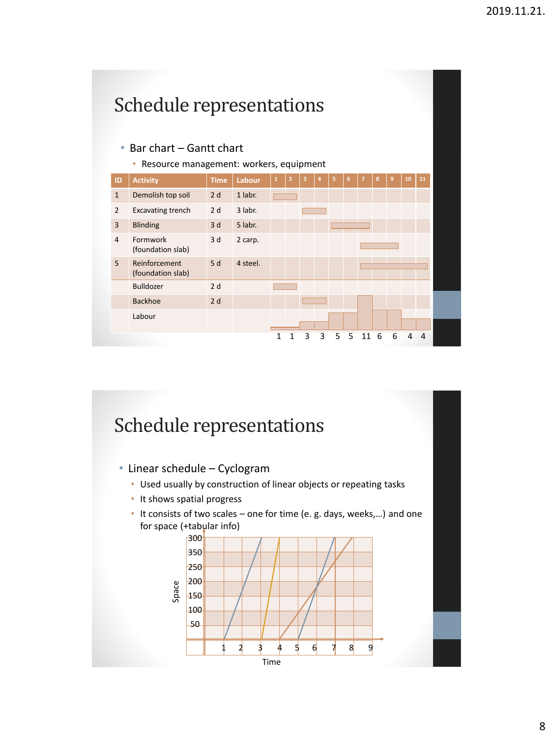

#### Schedule representations

- Linear schedule Cyclogram
	- Used usually by construction of linear objects or repeating tasks
	- It shows spatial progress
	- It consists of two scales one for time (e. g. days, weeks,…) and one for space (+tabular info)

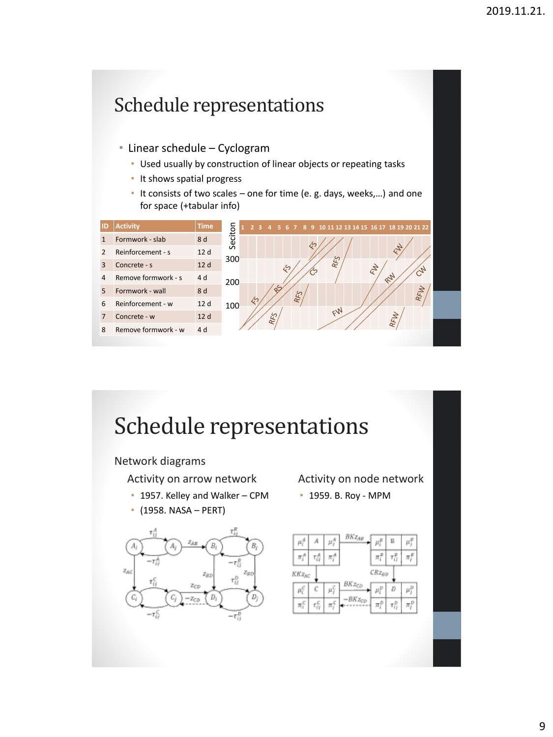### Schedule representations

- Linear schedule Cyclogram
	- Used usually by construction of linear objects or repeating tasks
	- It shows spatial progress
	- It consists of two scales one for time (e. g. days, weeks,…) and one for space (+tabular info)

| ID             | <b>Activity</b>     | <b>Time</b> |         | $\overline{2}$ | 437 | $\overline{4}$ |   |            |   | 5 6 7 8 9 10 11 12 13 14 15 16 17 18 19 20 21 22 |  |    |     |     |  |
|----------------|---------------------|-------------|---------|----------------|-----|----------------|---|------------|---|--------------------------------------------------|--|----|-----|-----|--|
|                | Formwork - slab     | 8 d         | Seciton |                |     |                |   |            | Ğ |                                                  |  |    |     |     |  |
| 2              | Reinforcement - s   | 12 d        | 300     |                |     |                |   |            |   |                                                  |  |    |     |     |  |
| 3              | Concrete - s        | 12 d        |         |                |     |                | E |            |   | RFS                                              |  | PA |     |     |  |
| $\overline{4}$ | Remove formwork - s | 4 d         | 200     |                |     |                |   |            |   |                                                  |  |    | RU  |     |  |
| 5              | Formwork - wall     | 8 d         |         |                |     |                |   | <b>RFS</b> |   |                                                  |  |    |     | RFW |  |
| 6              | Reinforcement - w   | 12d         | 100     | E              |     |                |   |            |   |                                                  |  |    |     |     |  |
| 7              | Concrete - w        | 12d         |         |                |     | RFS            |   |            |   | EN                                               |  |    | RFW |     |  |
| 8              | Remove formwork - w | 4 d         |         |                |     |                |   |            |   |                                                  |  |    |     |     |  |
|                |                     |             |         |                |     |                |   |            |   |                                                  |  |    |     |     |  |

# Schedule representations

Network diagrams

Activity on arrow network

- 1957. Kelley and Walker CPM
- (1958. NASA PERT)



Activity on node network

• 1959. B. Roy - MPM

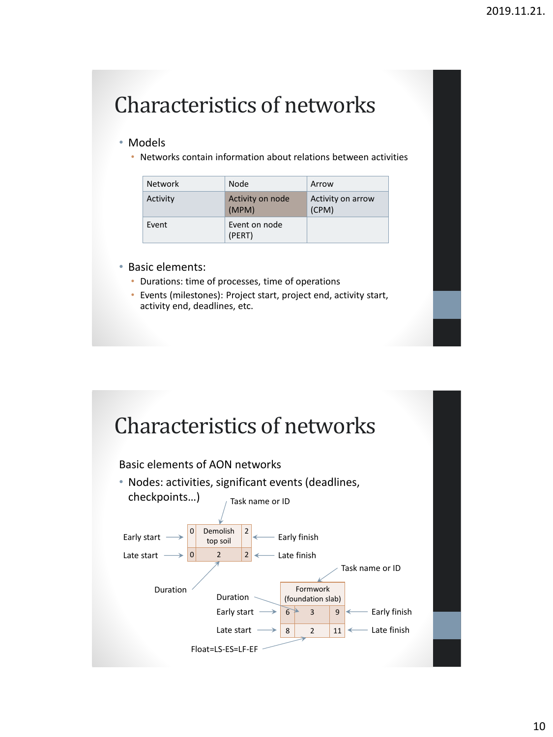# Characteristics of networks

#### • Models

• Networks contain information about relations between activities

| Network  | Node                      | Arrow                      |  |  |  |  |  |
|----------|---------------------------|----------------------------|--|--|--|--|--|
| Activity | Activity on node<br>(MPM) | Activity on arrow<br>(CPM) |  |  |  |  |  |
| Event    | Event on node<br>(PERT)   |                            |  |  |  |  |  |

- Basic elements:
	- Durations: time of processes, time of operations
	- Events (milestones): Project start, project end, activity start, activity end, deadlines, etc.

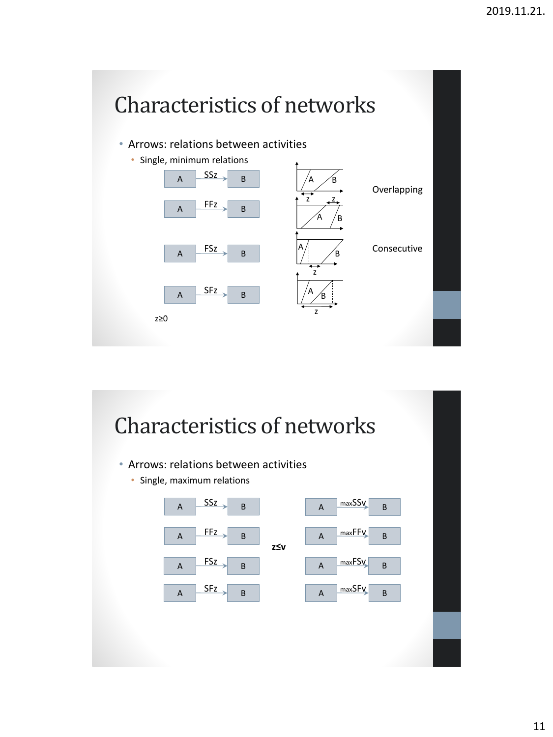# Characteristics of networks

• Arrows: relations between activities



### Characteristics of networks

- Arrows: relations between activities
	- Single, maximum relations

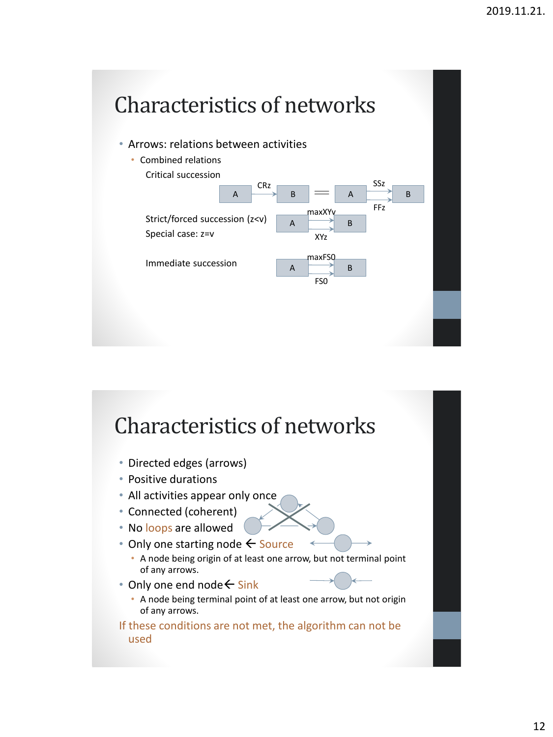# Characteristics of networks

• Arrows: relations between activities



### Characteristics of networks

- Directed edges (arrows)
- Positive durations
- All activities appear only once
- Connected (coherent)
- No loops are allowed
- Only one starting node  $\leftarrow$  Source
	- A node being origin of at least one arrow, but not terminal point of any arrows.
- Only one end node  $\leftarrow$  Sink
	- A node being terminal point of at least one arrow, but not origin of any arrows.

If these conditions are not met, the algorithm can not be used